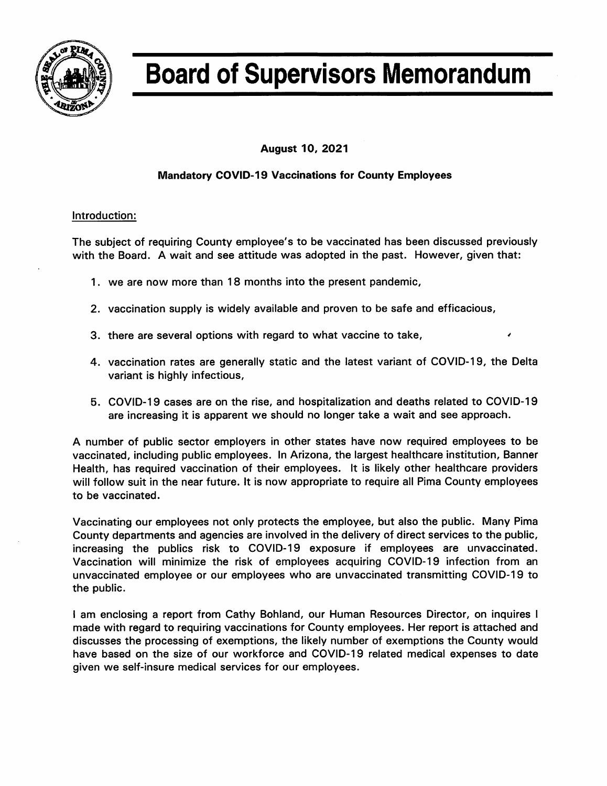

# **Board of Supervisors Memorandum**

**August 10, 2021** 

## **Mandatory COVID-19 Vaccinations for County Employees**

#### Introduction:

The subject of requiring County employee's to be vaccinated has been discussed previously with the Board. A wait and see attitude was adopted in the past. However, given that:

- 1. we are now more than 18 months into the present pandemic,
- 2. vaccination supply is widely available and proven to be safe and efficacious,
- 3. there are several options with regard to what vaccine to take,
- 4. vaccination rates are generally static and the latest variant of COVID-19, the Delta variant is highly infectious,
- 5. COVID-19 cases are on the rise, and hospitalization and deaths related to COVID-19 are increasing it is apparent we should no longer take a wait and see approach.

A number of public sector employers in other states have now required employees to be vaccinated, including public employees. In Arizona, the largest healthcare institution, Banner Health, has required vaccination of their employees. It is likely other healthcare providers will follow suit in the near future. It is now appropriate to require all Pima County employees to be vaccinated.

Vaccinating our employees not only protects the employee, but also the public. Many Pima County departments and agencies are involved in the delivery of direct services to the public, increasing the publics risk to COVID-19 exposure if employees are unvaccinated. Vaccination will minimize the risk of employees acquiring COVID-19 infection from an unvaccinated employee or our employees who are unvaccinated transmitting COVID-19 to the public.

I am enclosing a report from Cathy Bohland, our Human Resources Director, on inquires I made with regard to requiring vaccinations for County employees. Her report is attached and discusses the processing of exemptions, the likely number of exemptions the County would have based on the size of our workforce and COVID-19 related medical expenses to date given we self-insure medical services for our employees.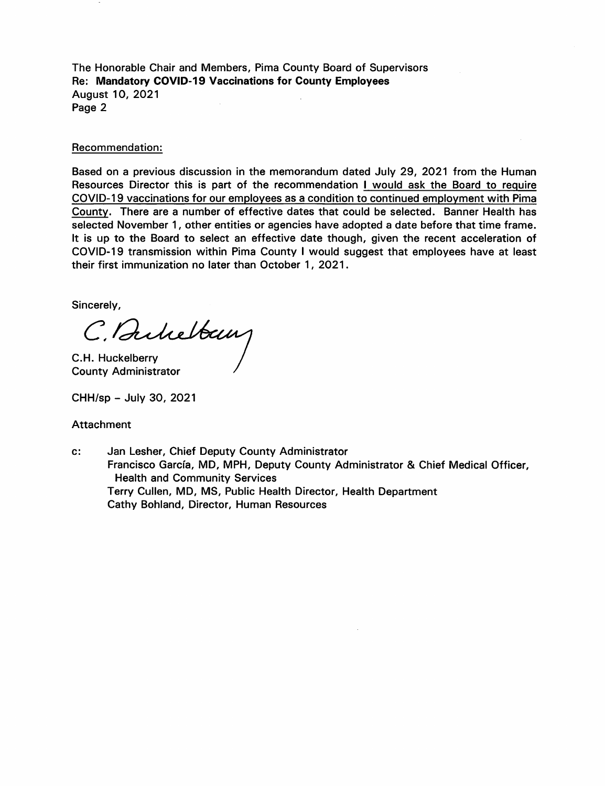The Honorable Chair and Members, Pima County Board of Supervisors Re: Mandatory COVID-19 Vaccinations for County Employees **August 10, 2021** Page 2

#### Recommendation:

Based on a previous discussion in the memorandum dated July 29, 2021 from the Human Resources Director this is part of the recommendation I would ask the Board to require COVID-19 vaccinations for our employees as a condition to continued employment with Pima County. There are a number of effective dates that could be selected. Banner Health has selected November 1, other entities or agencies have adopted a date before that time frame. It is up to the Board to select an effective date though, given the recent acceleration of COVID-19 transmission within Pima County I would suggest that employees have at least their first immunization no later than October 1, 2021.

Sincerely,

C. Bukelban

C.H. Huckelberry **County Administrator** 

CHH/sp - July 30, 2021

#### Attachment

Jan Lesher, Chief Deputy County Administrator  $\mathbf{c}$ : Francisco García, MD, MPH, Deputy County Administrator & Chief Medical Officer, **Health and Community Services** Terry Cullen, MD, MS, Public Health Director, Health Department Cathy Bohland, Director, Human Resources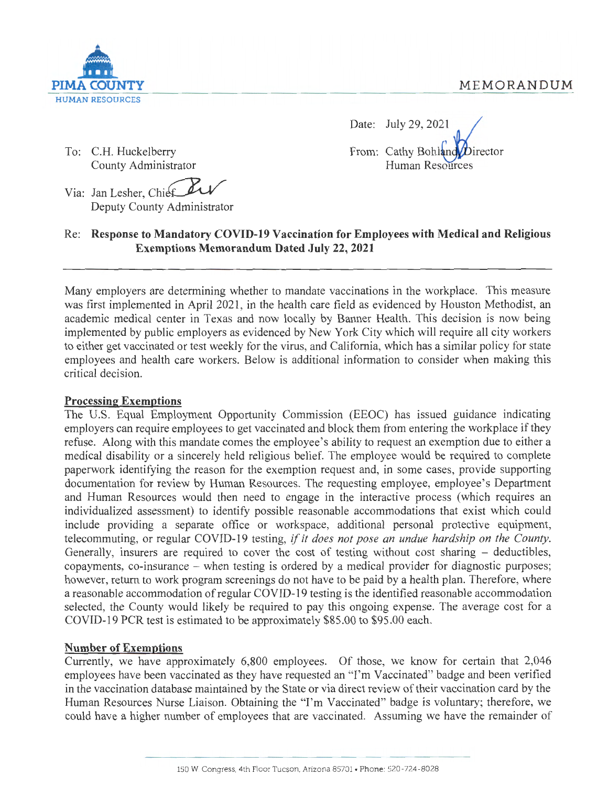

To: C.H. Huckelberry County Administrator

Date: July 29, 2021 From: Cathy Bohland Director Human Resources

Via: Jan Lesher, Chief Deputy County Administrator

# Re: **Response to Mandatory COVID-19 Vaccination for Employees with Medical and Religious Exemptions Memorandum Dated July 22, 2021**

Many employers are determining whether to mandate vaccinations in the workplace. This measure was first implemented in April 2021, in the health care field as evidenced by Houston Methodist, an academic medical center in Texas and now locally by Banner Health. This decision is now being implemented by public employers as evidenced by New York City which will require all city workers to either get vaccinated or test weekly for the virus, and California, which has a similar policy for state employees and health care workers. Below is additional information to consider when making this critical decision.

# **Processing Exemptions**

The U.S. Equal Employment Opportunity Commission (EEOC) has issued guidance indicating employers can require employees to get vaccinated and block them from entering the workplace if they refuse. Along with this mandate comes the employee's ability to request an exemption due to either a medical disability or a sincerely held religious belief. The employee would be required to complete paperwork identifying the reason for the exemption request and, in some cases, provide supporting documentation for review by Human Resources. The requesting employee, employee's Department and Human Resources would then need to engage in the interactive process (which requires an individualized assessment) to identify possible reasonable accommodations that exist which could include providing a separate office or workspace, additional personal protective equipment, telecommuting, or regular COVID-19 testing, *if it does not pose an undue hardship on the County.*  Generally, insurers are required to cover the cost of testing without cost sharing – deductibles, copayments, co-insurance - when testing is ordered by a medical provider for diagnostic purposes; however, return to work program screenings do not have to be paid by a health plan. Therefore, where a reasonable accommodation of regular COVID-19 testing is the identified reasonable accommodation selected, the County would likely be required to pay this ongoing expense. The average cost for a COVID-19 PCR test is estimated to be approximately \$85.00 to \$95.00 each.

# **Number of Exemptions**

Currently, we have approximately 6,800 employees. Of those, we know for certain that 2,046 employees have been vaccinated as they have requested an "I'm Vaccinated" badge and been verified in the vaccination database maintained by the State or via direct review of their vaccination card by the Human Resources Nurse Liaison. Obtaining the "I'm Vaccinated" badge is voluntary; therefore, we could have a higher number of employees that are vaccinated. Assuming we have the remainder of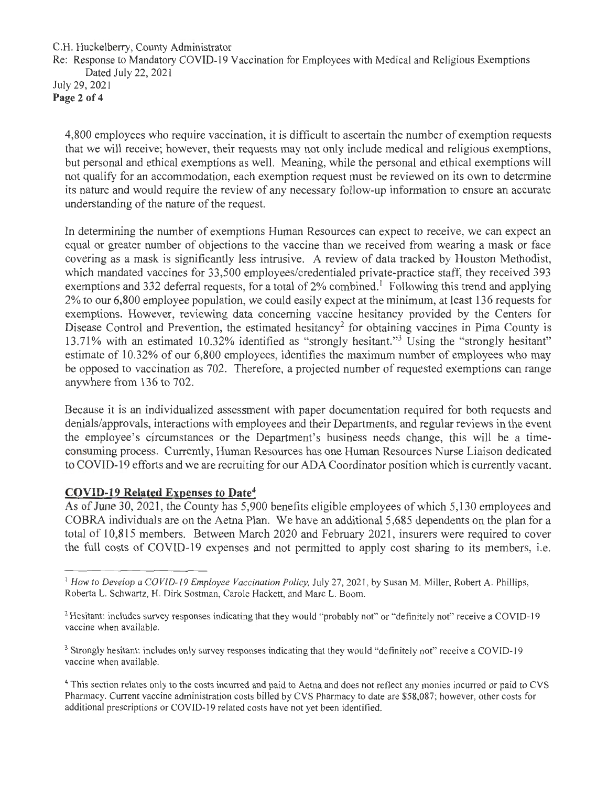#### C.H. Huckelberry, County Administrator

Re: Response to Mandatory COVID-19 Vaccination for Employees with Medical and Religious Exemptions Dated July 22, 2021

July 29, 2021 Page 2 of 4

> 4,800 employees who require vaccination, it is difficult to ascertain the number of exemption requests that we will receive; however, their requests may not only include medical and religious exemptions, but personal and ethical exemptions as well. Meaning, while the personal and ethical exemptions will not qualify for an accommodation, each exemption request must be reviewed on its own to determine its nature and would require the review of any necessary follow-up information to ensure an accurate understanding of the nature of the request.

> In determining the number of exemptions Human Resources can expect to receive, we can expect an equal or greater number of objections to the vaccine than we received from wearing a mask or face covering as a mask is significantly less intrusive. A review of data tracked by Houston Methodist, which mandated vaccines for 33,500 employees/credentialed private-practice staff, they received 393 exemptions and 332 deferral requests, for a total of 2% combined.<sup>1</sup> Following this trend and applying 2% to our 6,800 employee population, we could easily expect at the minimum, at least 136 requests for exemptions. However, reviewing data concerning vaccine hesitancy provided by the Centers for Disease Control and Prevention, the estimated hesitancy<sup>2</sup> for obtaining vaccines in Pima County is 13.71% with an estimated 10.32% identified as "strongly hesitant."<sup>3</sup> Using the "strongly hesitant" estimate of 10.32% of our 6,800 employees, identifies the maximum number of employees who may be opposed to vaccination as 702. Therefore, a projected number of requested exemptions can range anywhere from 136 to 702.

> Because it is an individualized assessment with paper documentation required for both requests and denials/approvals, interactions with employees and their Departments, and regular reviews in the event the employee's circumstances or the Department's business needs change, this will be a timeconsuming process. Currently, Human Resources has one Human Resources Nurse Liaison dedicated to COVID-19 efforts and we are recruiting for our ADA Coordinator position which is currently vacant.

# **COVID-19 Related Expenses to Date4**

As of June 30, 2021, the County has 5,900 benefits eligible employees of which 5,130 employees and COBRA individuals are on the Aetna Plan. We have an additional 5,685 dependents on the plan for a total of 10,815 members. Between March 2020 and February 2021 , insurers were required to cover the full costs of COVID-19 expenses and not permitted to apply cost sharing to its members, i.e.

<sup>&</sup>lt;sup>1</sup> How to Develop a COVID-19 Employee Vaccination Policy, July 27, 2021, by Susan M. Miller, Robert A. Phillips, Roberta L. Schwartz, H. Dirk Sostman, Carole Hackett, and Marc L. Boom.

<sup>&</sup>lt;sup>2</sup> Hesitant: includes survey responses indicating that they would "probably not" or "definitely not" receive a COVID-19 vaccine when available.

<sup>&</sup>lt;sup>3</sup> Strongly hesitant: includes only survey responses indicating that they would "definitely not" receive a COVID-19 vaccine when available.

<sup>4</sup>This section relates only to the costs incurred and paid to Aetna and does not reflect any monies incurred or paid to CVS Pharmacy. Current vaccine administration costs billed by CVS Pharmacy to date are \$58,087; however, other costs for additional prescriptions or COVID-19 related costs have not yet been identified.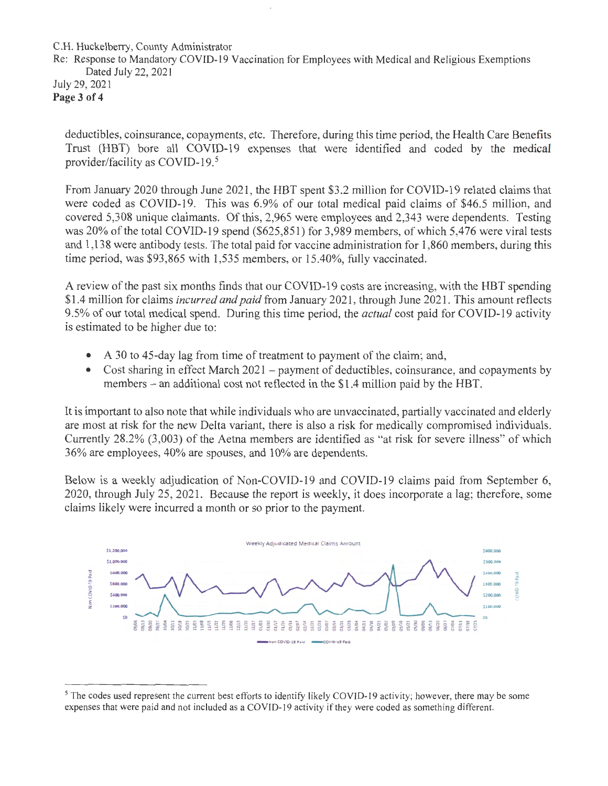C.H. Huckelberry, County Administrator

Re: Response to Mandatory COVID-19 Vaccination for Employees with Medical and Religious Exemptions Dated July 22, 2021

July 29, 2021 **Page 3 of 4** 

> deductibles, coinsurance, copayments, etc. Therefore, during this time period, the Health Care Benefits Trust (HBT) bore all COVID-19 expenses that were identified and coded by the medical provider/facility as COVID-19.<sup>5</sup>

> From January 2020 through June 2021 , the HBT spent \$3 .2 million for COVID-19 related claims that were coded as COVID-19. This was 6.9% of our total medical paid claims of \$46.5 million, and covered 5,308 unique claimants. Of this, 2,965 were employees and 2,343 were dependents. Testing was 20% of the total COVID-19 spend (\$625,851) for 3,989 members, of which 5,476 were viral tests and 1,138 were antibody tests. The total paid for vaccine administration for 1,860 members, during this time period, was \$93,865 with 1,535 members, or 15.40%, fully vaccinated.

> A review of the past six months finds that our COVID-19 costs are increasing, with the HBT spending \$1.4 million for claims *incurred and paid* from January 2021, through June 2021. This amount reflects 9 .5% of our total medical spend. During this time period, the *actual* cost paid for COVID-19 activity is estimated to be higher due to:

- A 30 to 45-day lag from time of treatment to payment of the claim; and,
- Cost sharing in effect March  $2021$  payment of deductibles, coinsurance, and copayments by members – an additional cost not reflected in the \$1.4 million paid by the HBT.

It is important to also note that while individuals who are unvaccinated, partially vaccinated and elderly are most at risk for the new Delta variant, there is also a risk for medically compromised individuals. Currently 28.2% (3,003) of the Aetna members are identified as "at risk for severe illness" of which 36% are employees, 40% are spouses, and 10% are dependents.

Below is a weekly adjudication of Non-COVID-19 and COVID-19 claims paid from September 6, 2020, through July 25, 2021. Because the report is weekly, it does incorporate a lag; therefore, some claims likely were incurred a month or so prior to the payment.



<sup>&</sup>lt;sup>5</sup>The codes used represent the current best efforts to identify likely COVID-19 activity; however, there may be some expenses that were paid and not included as a COVID-19 activity if they were coded as something different.